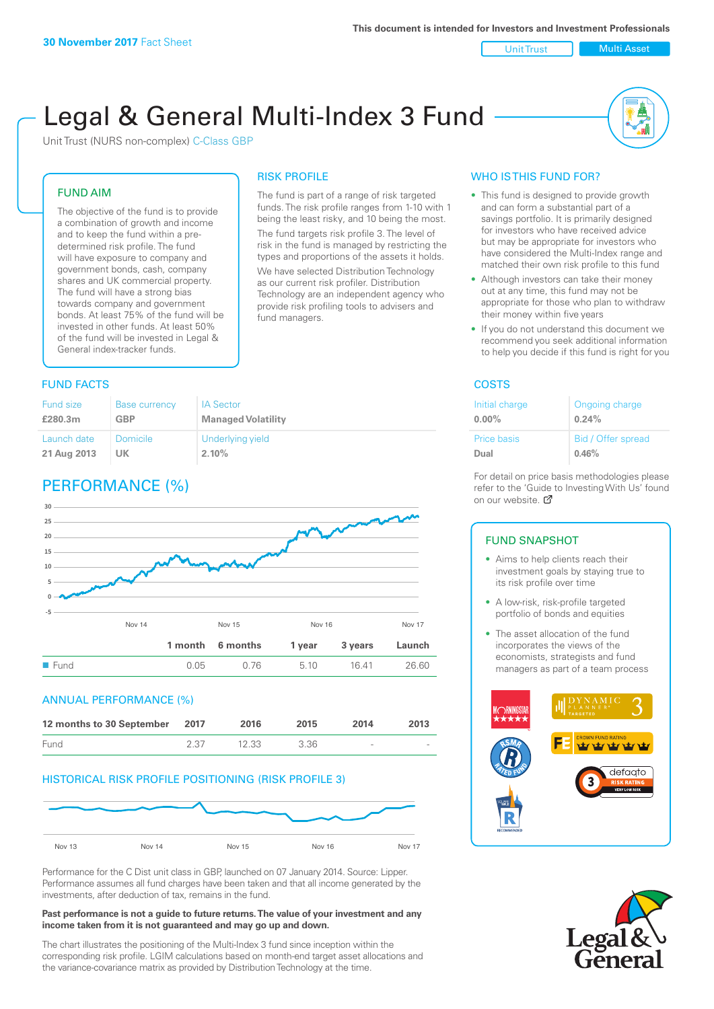Unit Trust Nulti Asset

# Legal & General Multi-Index 3 Fund

RISK PROFILE

fund managers.

The fund is part of a range of risk targeted funds. The risk profile ranges from 1-10 with 1 being the least risky, and 10 being the most. The fund targets risk profile 3. The level of risk in the fund is managed by restricting the types and proportions of the assets it holds. We have selected Distribution Technology as our current risk profiler. Distribution Technology are an independent agency who provide risk profiling tools to advisers and

Unit Trust (NURS non-complex) C-Class GBP

### FUND AIM

The objective of the fund is to provide a combination of growth and income and to keep the fund within a predetermined risk profile. The fund will have exposure to company and government bonds, cash, company shares and UK commercial property. The fund will have a strong bias towards company and government bonds. At least 75% of the fund will be invested in other funds. At least 50% of the fund will be invested in Legal & General index-tracker funds.

#### **FUND FACTS** COSTS

| Fund size   | <b>Base currency</b> | <b>IA Sector</b>          |
|-------------|----------------------|---------------------------|
| £280.3m     | <b>GBP</b>           | <b>Managed Volatility</b> |
| Launch date | Domicile             | Underlying yield          |
| 21 Aug 2013 | UK                   | 2.10%                     |

## PERFORMANCE (%)



#### ANNUAL PERFORMANCE (%)



#### HISTORICAL RISK PROFILE POSITIONING (RISK PROFILE 3)



Performance for the C Dist unit class in GBP, launched on 07 January 2014. Source: Lipper. Performance assumes all fund charges have been taken and that all income generated by the investments, after deduction of tax, remains in the fund.

#### **Past performance is not a guide to future returns. The value of your investment and any income taken from it is not guaranteed and may go up and down.**

The chart illustrates the positioning of the Multi-Index 3 fund since inception within the corresponding risk profile. LGIM calculations based on month-end target asset allocations and the variance-covariance matrix as provided by Distribution Technology at the time.

#### WHO IS THIS FUND FOR?

- This fund is designed to provide growth and can form a substantial part of a savings portfolio. It is primarily designed for investors who have received advice but may be appropriate for investors who have considered the Multi-Index range and matched their own risk profile to this fund
- Although investors can take their money out at any time, this fund may not be appropriate for those who plan to withdraw their money within five years
- If you do not understand this document we recommend you seek additional information to help you decide if this fund is right for you

| Initial charge     | Ongoing charge     |
|--------------------|--------------------|
| $0.00\%$           | 0.24%              |
| <b>Price basis</b> | Bid / Offer spread |
| Dual               | 0.46%              |

For detail on price basis methodologies please refer to the 'Gu[ide t](http://www.legalandgeneral.com/guide)o Investing With Us' found on our website. Ø

#### FUND SNAPSHOT

- Aims to help clients reach their investment goals by staying true to its risk profile over time
- A low-risk, risk-profile targeted portfolio of bonds and equities
- The asset allocation of the fund incorporates the views of the economists, strategists and fund managers as part of a team process



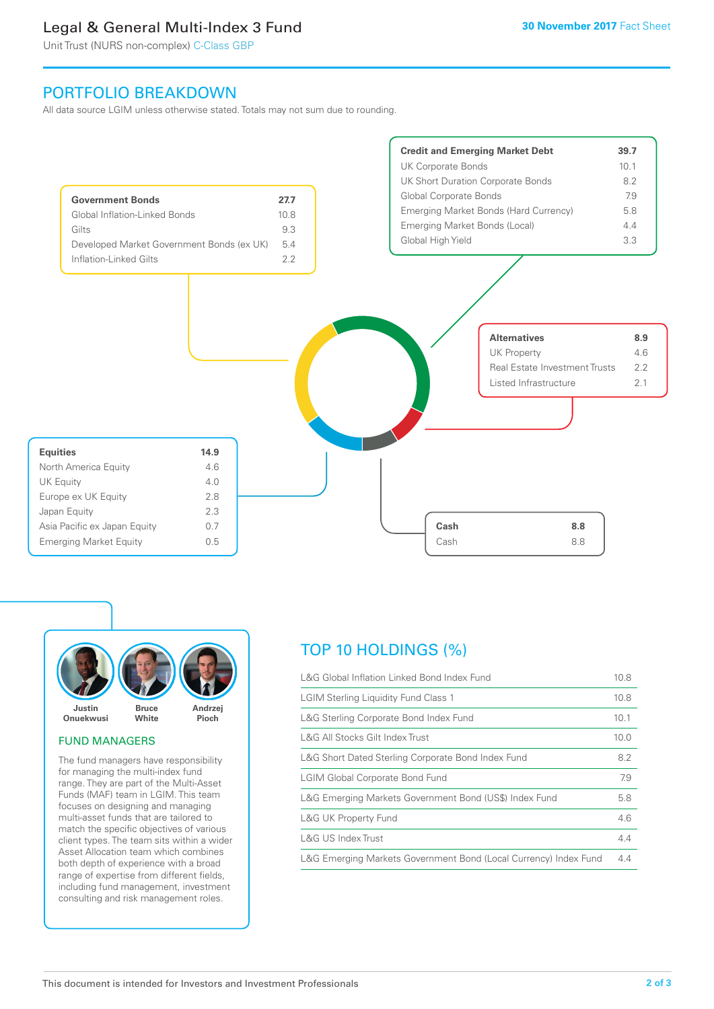### Legal & General Multi-Index 3 Fund

Unit Trust (NURS non-complex) C-Class GBP

### PORTFOLIO BREAKDOWN

All data source LGIM unless otherwise stated. Totals may not sum due to rounding.





#### FUND MANAGERS

The fund managers have responsibility for managing the multi-index fund range. They are part of the Multi-Asset Funds (MAF) team in LGIM. This team focuses on designing and managing multi-asset funds that are tailored to match the specific objectives of various client types. The team sits within a wider Asset Allocation team which combines both depth of experience with a broad range of expertise from different fields, including fund management, investment consulting and risk management roles.

### TOP 10 HOLDINGS (%)

| L&G Global Inflation Linked Bond Index Fund                      |      |
|------------------------------------------------------------------|------|
| <b>LGIM Sterling Liquidity Fund Class 1</b>                      |      |
| L&G Sterling Corporate Bond Index Fund                           |      |
| L&G All Stocks Gilt Index Trust                                  | 10.0 |
| L&G Short Dated Sterling Corporate Bond Index Fund               |      |
| <b>LGIM Global Corporate Bond Fund</b>                           |      |
| L&G Emerging Markets Government Bond (US\$) Index Fund           |      |
| <b>L&amp;G UK Property Fund</b>                                  |      |
| L&G US Index Trust                                               |      |
| L&G Emerging Markets Government Bond (Local Currency) Index Fund |      |